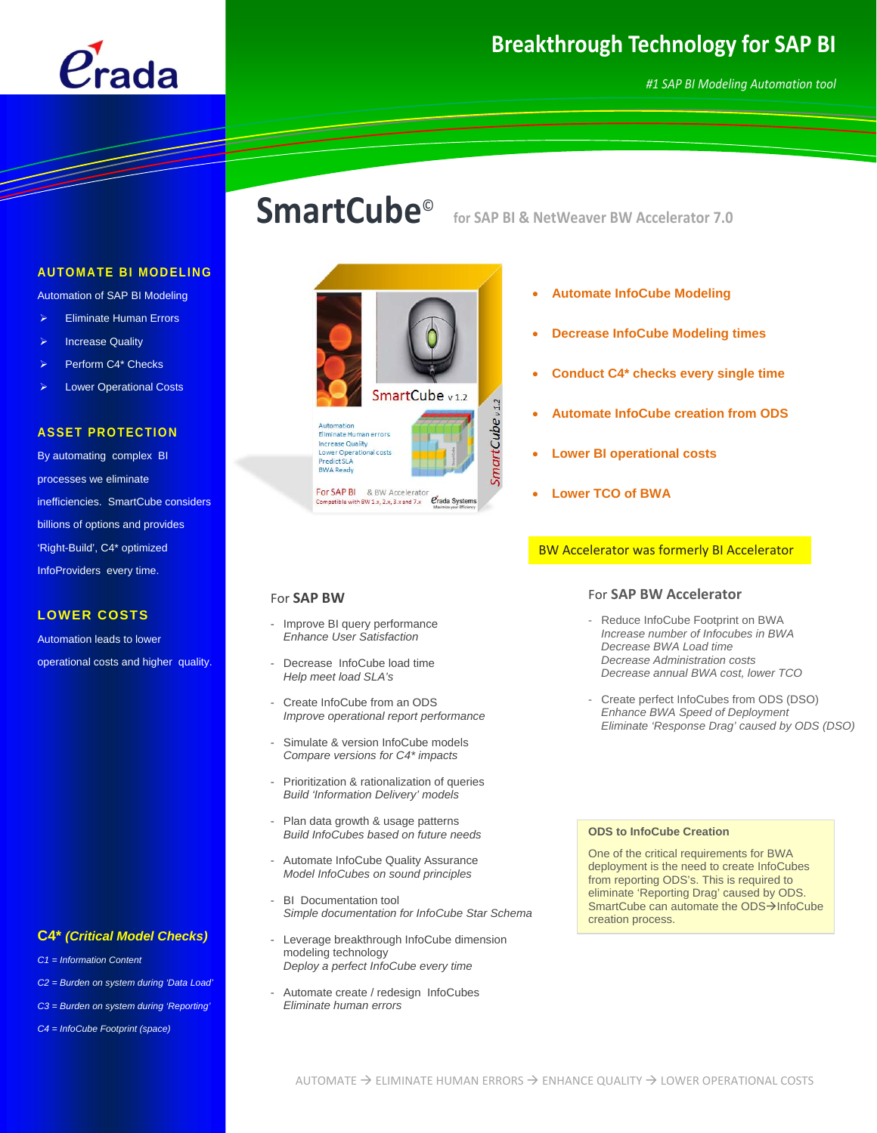

# **Breakthrough Technology for SAP BI**

# **SmartCube**© **for SAP BI & NetWeaver BW Accelerator 7.0**



Automation of SAP BI Modeling

- **Eliminate Human Errors**
- **Increase Quality**
- Perform C4\* Checks
- **Lower Operational Costs**

# **ASSET PROTECTION**

By automating complex BI processes we eliminate inefficiencies. SmartCube considers billions of options and provides 'Right-Build', C4\* optimized InfoProviders every time.

### **LOWER COSTS**

Automation leads to lower operational costs and higher quality.

# **C4\*** *(Critical Model Checks)*

- *C1 = Information Content*
- *C2 = Burden on system during 'Data Load'*
- *C3 = Burden on system during 'Reporting'*
- *C4 = InfoCube Footprint (space)*



- **Automate InfoCube Modeling**
- **Decrease InfoCube Modeling times**
- **Conduct C4\* checks every single time**
- **Automate InfoCube creation from ODS**
- **Lower BI operational costs**
- **Lower TCO of BWA**

## BW Accelerator was formerly BI Accelerator

## For **SAP BW**

- Improve BI query performance *Enhance User Satisfaction*
- Decrease InfoCube load time *Help meet load SLA's*
- Create InfoCube from an ODS *Improve operational report performance*
- Simulate & version InfoCube models *Compare versions for C4\* impacts*
- Prioritization & rationalization of queries *Build 'Information Delivery' models*
- Plan data growth & usage patterns *Build InfoCubes based on future needs*
- Automate InfoCube Quality Assurance *Model InfoCubes on sound principles*
- BI Documentation tool *Simple documentation for InfoCube Star Schema*
- Leverage breakthrough InfoCube dimension modeling technology *Deploy a perfect InfoCube every time*
- Automate create / redesign InfoCubes *Eliminate human errors*

# For **SAP BW Accelerator**

- Reduce InfoCube Footprint on BWA *Increase number of Infocubes in BWA Decrease BWA Load time Decrease Administration costs Decrease annual BWA cost, lower TCO*
- Create perfect InfoCubes from ODS (DSO) *Enhance BWA Speed of Deployment Eliminate 'Response Drag' caused by ODS (DSO)*

#### **ODS to InfoCube Creation**

One of the critical requirements for BWA deployment is the need to create InfoCubes from reporting ODS's. This is required to eliminate 'Reporting Drag' caused by ODS. SmartCube can automate the ODS->InfoCube creation process.